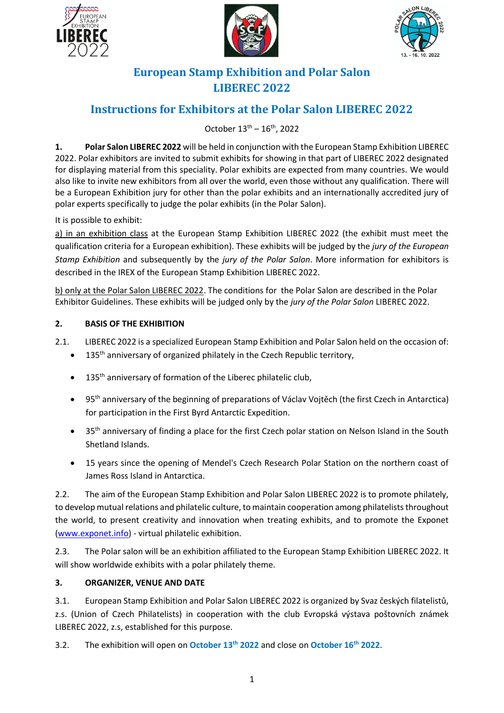





# **European Stamp Exhibition and Polar Salon LIBEREC 2022**

# **Instructions for Exhibitors at the Polar Salon LIBEREC 2022**

October  $13^{\text{th}} - 16^{\text{th}}$ , 2022

**1. Polar Salon LIBEREC 2022** will be held in conjunction with the European Stamp Exhibition LIBEREC 2022. Polar exhibitors are invited to submit exhibits for showing in that part of LIBEREC 2022 designated for displaying material from this speciality. Polar exhibits are expected from many countries. We would also like to invite new exhibitors from all over the world, even those without any qualification. There will be a European Exhibition jury for other than the polar exhibits and an internationally accredited jury of polar experts specifically to judge the polar exhibits (in the Polar Salon).

It is possible to exhibit:

a) in an exhibition class at the European Stamp Exhibition LIBEREC 2022 (the exhibit must meet the qualification criteria for a European exhibition). These exhibits will be judged by the *jury of the European Stamp Exhibition* and subsequently by the *jury of the Polar Salon*. More information for exhibitors is described in the IREX of the European Stamp Exhibition LIBEREC 2022.

b) only at the Polar Salon LIBEREC 2022. The conditions for the Polar Salon are described in the Polar Exhibitor Guidelines. These exhibits will be judged only by the *jury of the Polar Salon* LIBEREC 2022.

## **2. BASIS OF THE EXHIBITION**

2.1. LIBEREC 2022 is a specialized European Stamp Exhibition and Polar Salon held on the occasion of:

- 135<sup>th</sup> anniversary of organized philately in the Czech Republic territory,
- $\bullet$  135<sup>th</sup> anniversary of formation of the Liberec philatelic club,
- 95<sup>th</sup> anniversary of the beginning of preparations of Václav Vojtěch (the first Czech in Antarctica) for participation in the First Byrd Antarctic Expedition.
- 35<sup>th</sup> anniversary of finding a place for the first Czech polar station on Nelson Island in the South Shetland Islands.
- 15 years since the opening of Mendel's Czech Research Polar Station on the northern coast of James Ross Island in Antarctica.

2.2. The aim of the European Stamp Exhibition and Polar Salon LIBEREC 2022 is to promote philately, to develop mutual relations and philatelic culture, to maintain cooperation among philatelists throughout the world, to present creativity and innovation when treating exhibits, and to promote the Exponet [\(www.exponet.info\)](http://www.exponet.info/) - virtual philatelic exhibition.

2.3. The Polar salon will be an exhibition affiliated to the European Stamp Exhibition LIBEREC 2022. It will show worldwide exhibits with a polar philately theme.

### **3. ORGANIZER, VENUE AND DATE**

3.1. European Stamp Exhibition and Polar Salon LIBEREC 2022 is organized by Svaz českých filatelistů, z.s. (Union of Czech Philatelists) in cooperation with the club Evropská výstava poštovních známek LIBEREC 2022, z.s, established for this purpose.

3.2. The exhibition will open on **October 13th 2022** and close on **October 16th 2022**.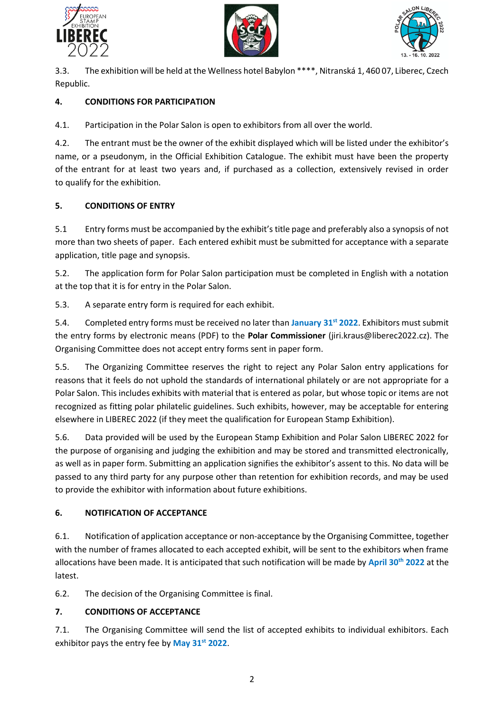





3.3. The exhibition will be held at the Wellness hotel Babylon \*\*\*\*, Nitranská 1, 460 07, Liberec, Czech Republic.

# **4. CONDITIONS FOR PARTICIPATION**

4.1. Participation in the Polar Salon is open to exhibitors from all over the world.

4.2. The entrant must be the owner of the exhibit displayed which will be listed under the exhibitor's name, or a pseudonym, in the Official Exhibition Catalogue. The exhibit must have been the property of the entrant for at least two years and, if purchased as a collection, extensively revised in order to qualify for the exhibition.

# **5. CONDITIONS OF ENTRY**

5.1 Entry forms must be accompanied by the exhibit's title page and preferably also a synopsis of not more than two sheets of paper. Each entered exhibit must be submitted for acceptance with a separate application, title page and synopsis.

5.2. The application form for Polar Salon participation must be completed in English with a notation at the top that it is for entry in the Polar Salon.

5.3. A separate entry form is required for each exhibit.

5.4. Completed entry forms must be received no later than **January 31st 2022**. Exhibitors must submit the entry forms by electronic means (PDF) to the **Polar Commissioner** [\(jiri.kraus@liberec2022.cz\)](mailto:jiri.kraus@liberec2022.cz). The Organising Committee does not accept entry forms sent in paper form.

5.5. The Organizing Committee reserves the right to reject any Polar Salon entry applications for reasons that it feels do not uphold the standards of international philately or are not appropriate for a Polar Salon. This includes exhibits with material that is entered as polar, but whose topic or items are not recognized as fitting polar philatelic guidelines. Such exhibits, however, may be acceptable for entering elsewhere in LIBEREC 2022 (if they meet the qualification for European Stamp Exhibition).

5.6. Data provided will be used by the European Stamp Exhibition and Polar Salon LIBEREC 2022 for the purpose of organising and judging the exhibition and may be stored and transmitted electronically, as well as in paper form. Submitting an application signifies the exhibitor's assent to this. No data will be passed to any third party for any purpose other than retention for exhibition records, and may be used to provide the exhibitor with information about future exhibitions.

# **6. NOTIFICATION OF ACCEPTANCE**

6.1. Notification of application acceptance or non-acceptance by the Organising Committee, together with the number of frames allocated to each accepted exhibit, will be sent to the exhibitors when frame allocations have been made. It is anticipated that such notification will be made by **April 30th 2022** at the latest.

6.2. The decision of the Organising Committee is final.

# **7. CONDITIONS OF ACCEPTANCE**

7.1. The Organising Committee will send the list of accepted exhibits to individual exhibitors. Each exhibitor pays the entry fee by **May 31st 2022**.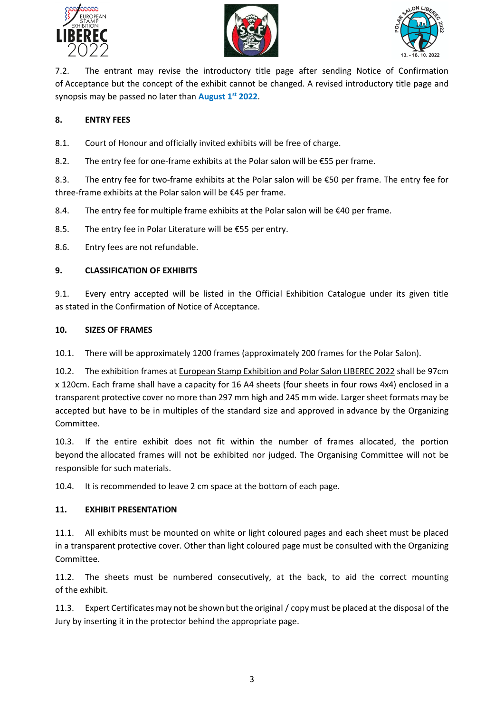





7.2. The entrant may revise the introductory title page after sending Notice of Confirmation of Acceptance but the concept of the exhibit cannot be changed. A revised introductory title page and synopsis may be passed no later than **August 1st 2022**.

## **8. ENTRY FEES**

8.1. Court of Honour and officially invited exhibits will be free of charge.

8.2. The entry fee for one-frame exhibits at the Polar salon will be  $E$ 55 per frame.

8.3. The entry fee for two-frame exhibits at the Polar salon will be €50 per frame. The entry fee for three-frame exhibits at the Polar salon will be €45 per frame.

8.4. The entry fee for multiple frame exhibits at the Polar salon will be  $\epsilon$ 40 per frame.

8.5. The entry fee in Polar Literature will be €55 per entry.

8.6. Entry fees are not refundable.

### **9. CLASSIFICATION OF EXHIBITS**

9.1. Every entry accepted will be listed in the Official Exhibition Catalogue under its given title as stated in the Confirmation of Notice of Acceptance.

### **10. SIZES OF FRAMES**

10.1. There will be approximately 1200 frames (approximately 200 frames for the Polar Salon).

10.2. The exhibition frames at European Stamp Exhibition and Polar Salon LIBEREC 2022 shall be 97cm x 120cm. Each frame shall have a capacity for 16 A4 sheets (four sheets in four rows 4x4) enclosed in a transparent protective cover no more than 297 mm high and 245 mm wide. Larger sheet formats may be accepted but have to be in multiples of the standard size and approved in advance by the Organizing Committee.

10.3. If the entire exhibit does not fit within the number of frames allocated, the portion beyond the allocated frames will not be exhibited nor judged. The Organising Committee will not be responsible for such materials.

10.4. It is recommended to leave 2 cm space at the bottom of each page.

### **11. EXHIBIT PRESENTATION**

11.1. All exhibits must be mounted on white or light coloured pages and each sheet must be placed in a transparent protective cover. Other than light coloured page must be consulted with the Organizing Committee.

11.2. The sheets must be numbered consecutively, at the back, to aid the correct mounting of the exhibit.

11.3. Expert Certificates may not be shown but the original / copy must be placed at the disposal of the Jury by inserting it in the protector behind the appropriate page.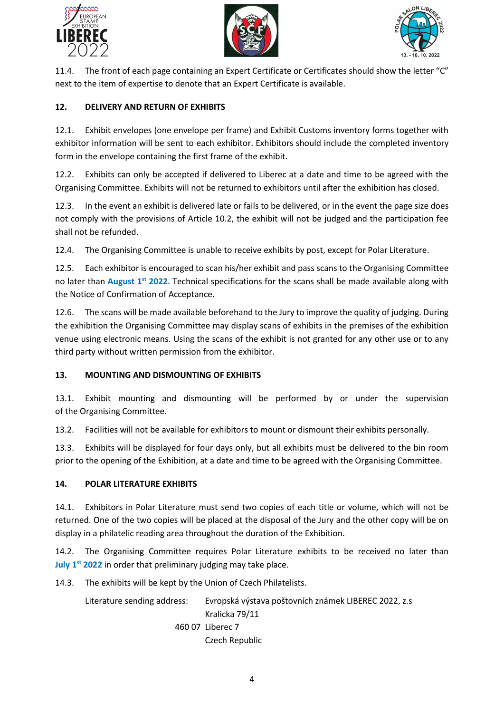





11.4. The front of each page containing an Expert Certificate or Certificates should show the letter "C" next to the item of expertise to denote that an Expert Certificate is available.

### **12. DELIVERY AND RETURN OF EXHIBITS**

12.1. Exhibit envelopes (one envelope per frame) and Exhibit Customs inventory forms together with exhibitor information will be sent to each exhibitor. Exhibitors should include the completed inventory form in the envelope containing the first frame of the exhibit.

12.2. Exhibits can only be accepted if delivered to Liberec at a date and time to be agreed with the Organising Committee. Exhibits will not be returned to exhibitors until after the exhibition has closed.

12.3. In the event an exhibit is delivered late or fails to be delivered, or in the event the page size does not comply with the provisions of Article 10.2, the exhibit will not be judged and the participation fee shall not be refunded.

12.4. The Organising Committee is unable to receive exhibits by post, except for Polar Literature.

12.5. Each exhibitor is encouraged to scan his/her exhibit and pass scans to the Organising Committee no later than **August 1st 2022**. Technical specifications for the scans shall be made available along with the Notice of Confirmation of Acceptance.

12.6. The scans will be made available beforehand to the Jury to improve the quality of judging. During the exhibition the Organising Committee may display scans of exhibits in the premises of the exhibition venue using electronic means. Using the scans of the exhibit is not granted for any other use or to any third party without written permission from the exhibitor.

### **13. MOUNTING AND DISMOUNTING OF EXHIBITS**

13.1. Exhibit mounting and dismounting will be performed by or under the supervision of the Organising Committee.

13.2. Facilities will not be available for exhibitors to mount or dismount their exhibits personally.

13.3. Exhibits will be displayed for four days only, but all exhibits must be delivered to the bin room prior to the opening of the Exhibition, at a date and time to be agreed with the Organising Committee.

### **14. POLAR LITERATURE EXHIBITS**

14.1. Exhibitors in Polar Literature must send two copies of each title or volume, which will not be returned. One of the two copies will be placed at the disposal of the Jury and the other copy will be on display in a philatelic reading area throughout the duration of the Exhibition.

14.2. The Organising Committee requires Polar Literature exhibits to be received no later than **July 1 st 2022** in order that preliminary judging may take place.

14.3. The exhibits will be kept by the Union of Czech Philatelists.

Literature sending address: Evropská výstava poštovních známek LIBEREC 2022, z.s Kralicka 79/11 460 07 Liberec 7 Czech Republic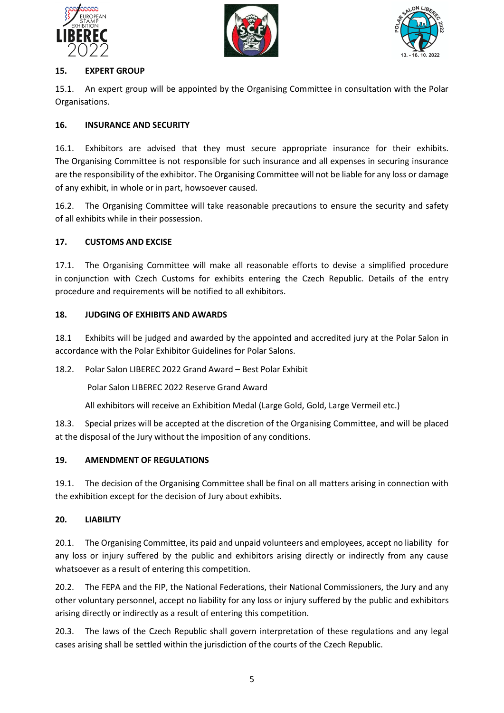





## **15. EXPERT GROUP**

15.1. An expert group will be appointed by the Organising Committee in consultation with the Polar Organisations.

## **16. INSURANCE AND SECURITY**

16.1. Exhibitors are advised that they must secure appropriate insurance for their exhibits. The Organising Committee is not responsible for such insurance and all expenses in securing insurance are the responsibility of the exhibitor. The Organising Committee will not be liable for any loss or damage of any exhibit, in whole or in part, howsoever caused.

16.2. The Organising Committee will take reasonable precautions to ensure the security and safety of all exhibits while in their possession.

## **17. CUSTOMS AND EXCISE**

17.1. The Organising Committee will make all reasonable efforts to devise a simplified procedure in conjunction with Czech Customs for exhibits entering the Czech Republic. Details of the entry procedure and requirements will be notified to all exhibitors.

## **18. JUDGING OF EXHIBITS AND AWARDS**

18.1 Exhibits will be judged and awarded by the appointed and accredited jury at the Polar Salon in accordance with the Polar Exhibitor Guidelines for Polar Salons.

18.2. Polar Salon LIBEREC 2022 Grand Award – Best Polar Exhibit

Polar Salon LIBEREC 2022 Reserve Grand Award

All exhibitors will receive an Exhibition Medal (Large Gold, Gold, Large Vermeil etc.)

18.3. Special prizes will be accepted at the discretion of the Organising Committee, and will be placed at the disposal of the Jury without the imposition of any conditions.

# **19. AMENDMENT OF REGULATIONS**

19.1. The decision of the Organising Committee shall be final on all matters arising in connection with the exhibition except for the decision of Jury about exhibits.

### **20. LIABILITY**

20.1. The Organising Committee, its paid and unpaid volunteers and employees, accept no liability for any loss or injury suffered by the public and exhibitors arising directly or indirectly from any cause whatsoever as a result of entering this competition.

20.2. The FEPA and the FIP, the National Federations, their National Commissioners, the Jury and any other voluntary personnel, accept no liability for any loss or injury suffered by the public and exhibitors arising directly or indirectly as a result of entering this competition.

20.3. The laws of the Czech Republic shall govern interpretation of these regulations and any legal cases arising shall be settled within the jurisdiction of the courts of the Czech Republic.